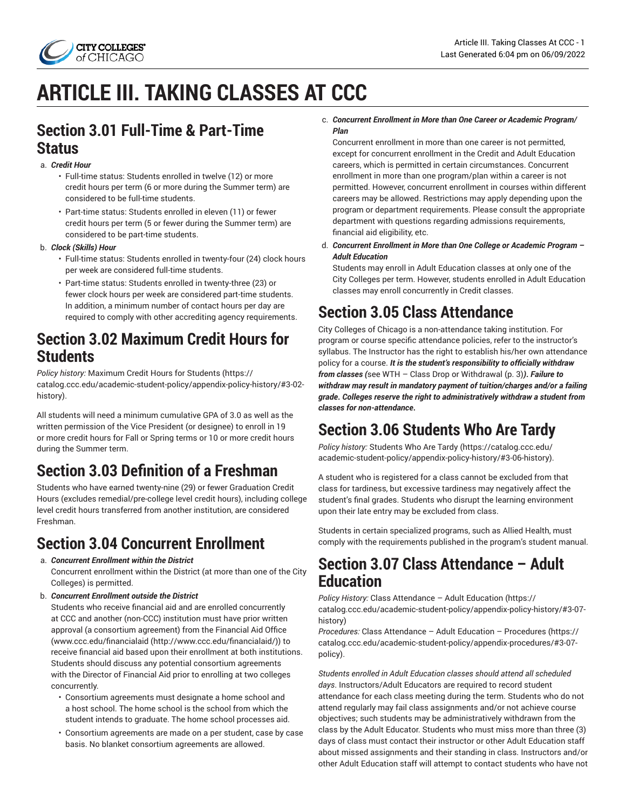

# **ARTICLE III. TAKING CLASSES AT CCC**

## **Section 3.01 Full-Time & Part-Time Status**

### a. *Credit Hour*

- Full-time status: Students enrolled in twelve (12) or more credit hours per term (6 or more during the Summer term) are considered to be full-time students.
- Part-time status: Students enrolled in eleven (11) or fewer credit hours per term (5 or fewer during the Summer term) are considered to be part-time students.

### b. *Clock (Skills) Hour*

- Full-time status: Students enrolled in twenty-four (24) clock hours per week are considered full-time students.
- Part-time status: Students enrolled in twenty-three (23) or fewer clock hours per week are considered part-time students. In addition, a minimum number of contact hours per day are required to comply with other accrediting agency requirements.

## **Section 3.02 Maximum Credit Hours for Students**

*Policy history:* [Maximum](https://catalog.ccc.edu/academic-student-policy/appendix-policy-history/#3-02-history) Credit Hours for Students [\(https://](https://catalog.ccc.edu/academic-student-policy/appendix-policy-history/#3-02-history) [catalog.ccc.edu/academic-student-policy/appendix-policy-history/#3-02](https://catalog.ccc.edu/academic-student-policy/appendix-policy-history/#3-02-history) [history\)](https://catalog.ccc.edu/academic-student-policy/appendix-policy-history/#3-02-history).

All students will need a minimum cumulative GPA of 3.0 as well as the written permission of the Vice President (or designee) to enroll in 19 or more credit hours for Fall or Spring terms or 10 or more credit hours during the Summer term.

# **Section 3.03 Definition of a Freshman**

Students who have earned twenty-nine (29) or fewer Graduation Credit Hours (excludes remedial/pre-college level credit hours), including college level credit hours transferred from another institution, are considered Freshman.

## **Section 3.04 Concurrent Enrollment**

a. *Concurrent Enrollment within the District*

Concurrent enrollment within the District (at more than one of the City Colleges) is permitted.

b. *Concurrent Enrollment outside the District*

Students who receive financial aid and are enrolled concurrently at CCC and another (non-CCC) institution must have prior written approval (a consortium agreement) from the Financial Aid Office ([www.ccc.edu/financialaid](http://www.ccc.edu/financialaid/) [\(http://www.ccc.edu/financialaid/](http://www.ccc.edu/financialaid/))) to receive financial aid based upon their enrollment at both institutions. Students should discuss any potential consortium agreements with the Director of Financial Aid prior to enrolling at two colleges concurrently.

- Consortium agreements must designate a home school and a host school. The home school is the school from which the student intends to graduate. The home school processes aid.
- Consortium agreements are made on a per student, case by case basis. No blanket consortium agreements are allowed.

### c. *Concurrent Enrollment in More than One Career or Academic Program/ Plan*

Concurrent enrollment in more than one career is not permitted, except for concurrent enrollment in the Credit and Adult Education careers, which is permitted in certain circumstances. Concurrent enrollment in more than one program/plan within a career is not permitted. However, concurrent enrollment in courses within different careers may be allowed. Restrictions may apply depending upon the program or department requirements. Please consult the appropriate department with questions regarding admissions requirements, financial aid eligibility, etc.

d. *Concurrent Enrollment in More than One College or Academic Program – Adult Education*

Students may enroll in Adult Education classes at only one of the City Colleges per term. However, students enrolled in Adult Education classes may enroll concurrently in Credit classes.

# **Section 3.05 Class Attendance**

City Colleges of Chicago is a non-attendance taking institution. For program or course specific attendance policies, refer to the instructor's syllabus. The Instructor has the right to establish his/her own attendance policy for a course. *It is the student's responsibility to officially withdraw from classes (*see WTH – Class Drop or [Withdrawal \(p. 3\)](#page-2-0)*)***.** *Failure to withdraw may result in mandatory payment of tuition/charges and/or a failing grade***.** *Colleges reserve the right to administratively withdraw a student from classes for non-attendance***.**

# **Section 3.06 Students Who Are Tardy**

*Policy history:* [Students](https://catalog.ccc.edu/academic-student-policy/appendix-policy-history/#3-06-history) Who Are Tardy ([https://catalog.ccc.edu/](https://catalog.ccc.edu/academic-student-policy/appendix-policy-history/#3-06-history) [academic-student-policy/appendix-policy-history/#3-06-history](https://catalog.ccc.edu/academic-student-policy/appendix-policy-history/#3-06-history)).

A student who is registered for a class cannot be excluded from that class for tardiness, but excessive tardiness may negatively affect the student's final grades. Students who disrupt the learning environment upon their late entry may be excluded from class.

Students in certain specialized programs, such as Allied Health, must comply with the requirements published in the program's student manual.

## **Section 3.07 Class Attendance – Adult Education**

*Policy History:* Class [Attendance](https://catalog.ccc.edu/academic-student-policy/appendix-policy-history/#3-07-history) – Adult Education [\(https://](https://catalog.ccc.edu/academic-student-policy/appendix-policy-history/#3-07-history) [catalog.ccc.edu/academic-student-policy/appendix-policy-history/#3-07](https://catalog.ccc.edu/academic-student-policy/appendix-policy-history/#3-07-history) [history](https://catalog.ccc.edu/academic-student-policy/appendix-policy-history/#3-07-history))

*Procedures:* Class [Attendance](https://catalog.ccc.edu/academic-student-policy/appendix-procedures/#3-07-policy) – Adult Education – Procedures ([https://](https://catalog.ccc.edu/academic-student-policy/appendix-procedures/#3-07-policy) [catalog.ccc.edu/academic-student-policy/appendix-procedures/#3-07](https://catalog.ccc.edu/academic-student-policy/appendix-procedures/#3-07-policy) [policy\)](https://catalog.ccc.edu/academic-student-policy/appendix-procedures/#3-07-policy).

*Students enrolled in Adult Education classes should attend all scheduled days*. Instructors/Adult Educators are required to record student attendance for each class meeting during the term. Students who do not attend regularly may fail class assignments and/or not achieve course objectives; such students may be administratively withdrawn from the class by the Adult Educator. Students who must miss more than three (3) days of class must contact their instructor or other Adult Education staff about missed assignments and their standing in class. Instructors and/or other Adult Education staff will attempt to contact students who have not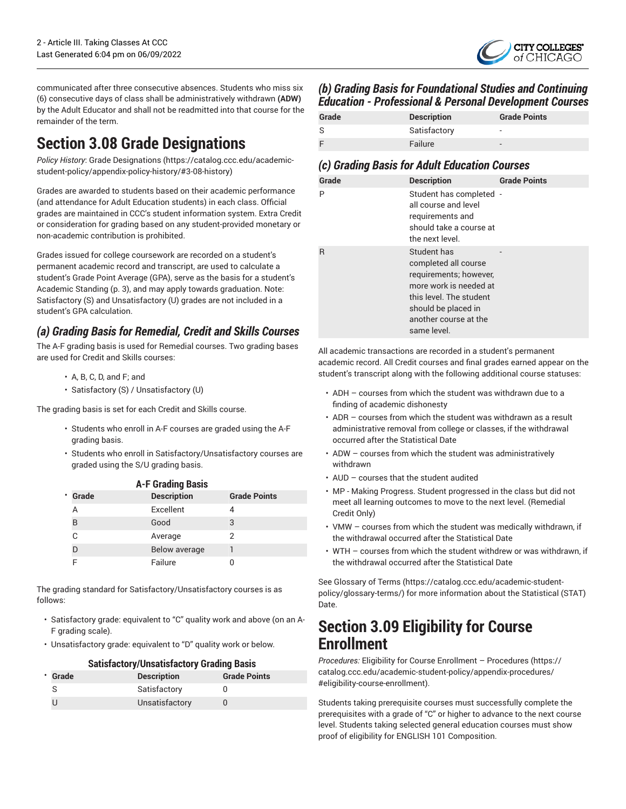CITY COLLEGES"

communicated after three consecutive absences. Students who miss six (6) consecutive days of class shall be administratively withdrawn **(ADW)** by the Adult Educator and shall not be readmitted into that course for the remainder of the term.

# **Section 3.08 Grade Designations**

*Policy History*: [Grade Designations \(https://catalog.ccc.edu/academic](https://catalog.ccc.edu/academic-student-policy/appendix-policy-history/#3-08-history)[student-policy/appendix-policy-history/#3-08-history\)](https://catalog.ccc.edu/academic-student-policy/appendix-policy-history/#3-08-history)

Grades are awarded to students based on their academic performance (and attendance for Adult Education students) in each class. Official grades are maintained in CCC's student information system. Extra Credit or consideration for grading based on any student-provided monetary or non-academic contribution is prohibited.

Grades issued for college coursework are recorded on a student's permanent academic record and transcript, are used to calculate a student's Grade Point Average (GPA), serve as the basis for a student's [Academic Standing](#page-2-1) ([p. 3\)](#page-2-1), and may apply towards graduation. Note: Satisfactory (S) and Unsatisfactory (U) grades are not included in a student's GPA calculation.

## *(a) Grading Basis for Remedial, Credit and Skills Courses*

The A-F grading basis is used for Remedial courses. Two grading bases are used for Credit and Skills courses:

- A, B, C, D, and F; and
- Satisfactory (S) / Unsatisfactory (U)

The grading basis is set for each Credit and Skills course.

- Students who enroll in A-F courses are graded using the A-F grading basis.
- Students who enroll in Satisfactory/Unsatisfactory courses are graded using the S/U grading basis.

| <b>A-F Grading Basis</b> |                    |                     |  |  |  |
|--------------------------|--------------------|---------------------|--|--|--|
| · Grade                  | <b>Description</b> | <b>Grade Points</b> |  |  |  |
|                          | Excellent          | 4                   |  |  |  |
| B                        | Good               | З                   |  |  |  |
|                          | Average            | 2                   |  |  |  |
|                          | Below average      |                     |  |  |  |
|                          | Failure            |                     |  |  |  |

The grading standard for Satisfactory/Unsatisfactory courses is as follows:

- Satisfactory grade: equivalent to "C" quality work and above (on an A-F grading scale).
- Unsatisfactory grade: equivalent to "D" quality work or below.

|                |                    | <b>Satisfactory/Unsatisfactory Grading Basis</b> |  |  |
|----------------|--------------------|--------------------------------------------------|--|--|
| <b>· Grade</b> | <b>Description</b> | <b>Grade Points</b>                              |  |  |
| S              | Satisfactory       |                                                  |  |  |
|                | Unsatisfactory     |                                                  |  |  |

## *(b) Grading Basis for Foundational Studies and Continuing Education - Professional & Personal Development Courses*

| Grade | <b>Description</b> | <b>Grade Points</b>      |
|-------|--------------------|--------------------------|
|       | Satisfactory       | $\overline{\phantom{a}}$ |
|       | Failure            | $\overline{\phantom{0}}$ |

## *(c) Grading Basis for Adult Education Courses*

| Grade | <b>Description</b>                                                                                                                                                                | <b>Grade Points</b> |
|-------|-----------------------------------------------------------------------------------------------------------------------------------------------------------------------------------|---------------------|
| Ρ     | Student has completed -<br>all course and level<br>requirements and<br>should take a course at<br>the next level.                                                                 |                     |
| R     | Student has<br>completed all course<br>requirements; however,<br>more work is needed at<br>this level. The student<br>should be placed in<br>another course at the<br>same level. |                     |

All academic transactions are recorded in a student's permanent academic record. All Credit courses and final grades earned appear on the student's transcript along with the following additional course statuses:

- ADH courses from which the student was withdrawn due to a finding of academic dishonesty
- ADR courses from which the student was withdrawn as a result administrative removal from college or classes, if the withdrawal occurred after the Statistical Date
- ADW courses from which the student was administratively withdrawn
- AUD courses that the student audited
- MP Making Progress. Student progressed in the class but did not meet all learning outcomes to move to the next level. (Remedial Credit Only)
- VMW courses from which the student was medically withdrawn, if the withdrawal occurred after the Statistical Date
- WTH courses from which the student withdrew or was withdrawn, if the withdrawal occurred after the Statistical Date

See [Glossary](https://catalog.ccc.edu/academic-student-policy/glossary-terms/) of Terms ([https://catalog.ccc.edu/academic-student](https://catalog.ccc.edu/academic-student-policy/glossary-terms/)[policy/glossary-terms/](https://catalog.ccc.edu/academic-student-policy/glossary-terms/)) for more information about the Statistical (STAT) Date.

## **Section 3.09 Eligibility for Course Enrollment**

*Procedures:* Eligibility for Course Enrollment – [Procedures](https://catalog.ccc.edu/academic-student-policy/appendix-procedures/#eligibility-course-enrollment) ([https://](https://catalog.ccc.edu/academic-student-policy/appendix-procedures/#eligibility-course-enrollment) [catalog.ccc.edu/academic-student-policy/appendix-procedures/](https://catalog.ccc.edu/academic-student-policy/appendix-procedures/#eligibility-course-enrollment) [#eligibility-course-enrollment\)](https://catalog.ccc.edu/academic-student-policy/appendix-procedures/#eligibility-course-enrollment).

Students taking prerequisite courses must successfully complete the prerequisites with a grade of "C" or higher to advance to the next course level. Students taking selected general education courses must show proof of eligibility for ENGLISH 101 Composition.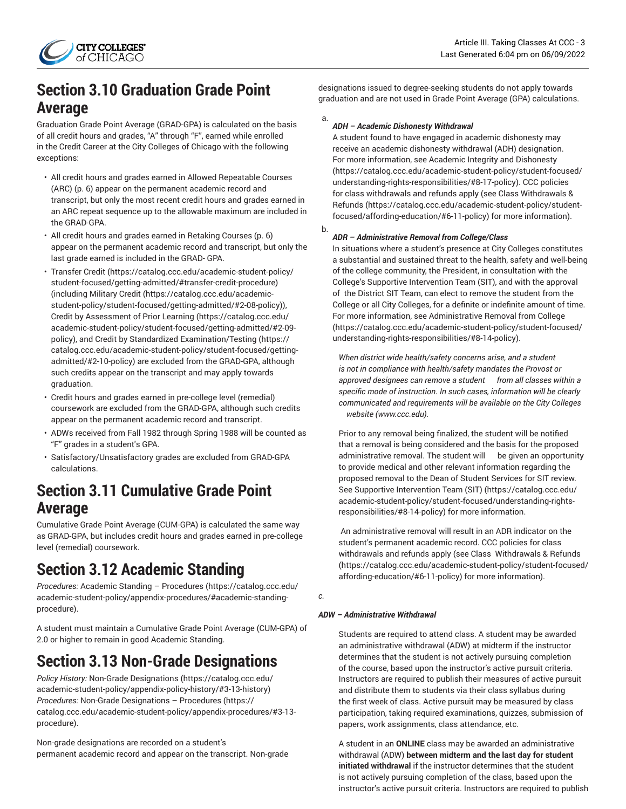## <span id="page-2-2"></span>**Section 3.10 Graduation Grade Point Average**

Graduation Grade Point Average (GRAD-GPA) is calculated on the basis of all credit hours and grades, "A" through "F", earned while enrolled in the Credit Career at the City Colleges of Chicago with the following exceptions:

- All credit hours and grades earned in [Allowed Repeatable Courses](#page-5-0) [\(ARC\) \(p. 6\)](#page-5-0) appear on the permanent academic record and transcript, but only the most recent credit hours and grades earned in an ARC repeat sequence up to the allowable maximum are included in the GRAD-GPA.
- All credit hours and grades earned in [Retaking Courses \(p. 6](#page-5-0)) appear on the permanent academic record and transcript, but only the last grade earned is included in the GRAD- GPA.
- [Transfer](https://catalog.ccc.edu/academic-student-policy/student-focused/getting-admitted/#transfer-credit-procedure) Credit ([https://catalog.ccc.edu/academic-student-policy/](https://catalog.ccc.edu/academic-student-policy/student-focused/getting-admitted/#transfer-credit-procedure) [student-focused/getting-admitted/#transfer-credit-procedure](https://catalog.ccc.edu/academic-student-policy/student-focused/getting-admitted/#transfer-credit-procedure)) (including [Military](https://catalog.ccc.edu/academic-student-policy/student-focused/getting-admitted/#2-08-policy) Credit ([https://catalog.ccc.edu/academic](https://catalog.ccc.edu/academic-student-policy/student-focused/getting-admitted/#2-08-policy)[student-policy/student-focused/getting-admitted/#2-08-policy\)](https://catalog.ccc.edu/academic-student-policy/student-focused/getting-admitted/#2-08-policy)), Credit by [Assessment](https://catalog.ccc.edu/academic-student-policy/student-focused/getting-admitted/#2-09-policy) of Prior Learning ([https://catalog.ccc.edu/](https://catalog.ccc.edu/academic-student-policy/student-focused/getting-admitted/#2-09-policy) [academic-student-policy/student-focused/getting-admitted/#2-09](https://catalog.ccc.edu/academic-student-policy/student-focused/getting-admitted/#2-09-policy) [policy](https://catalog.ccc.edu/academic-student-policy/student-focused/getting-admitted/#2-09-policy)), and Credit by Standardized [Examination/Testing](https://catalog.ccc.edu/academic-student-policy/student-focused/getting-admitted/#2-10-policy) ([https://](https://catalog.ccc.edu/academic-student-policy/student-focused/getting-admitted/#2-10-policy) [catalog.ccc.edu/academic-student-policy/student-focused/getting](https://catalog.ccc.edu/academic-student-policy/student-focused/getting-admitted/#2-10-policy)[admitted/#2-10-policy\)](https://catalog.ccc.edu/academic-student-policy/student-focused/getting-admitted/#2-10-policy) are excluded from the GRAD-GPA, although such credits appear on the transcript and may apply towards graduation.
- Credit hours and grades earned in pre-college level (remedial) coursework are excluded from the GRAD-GPA, although such credits appear on the permanent academic record and transcript.
- ADWs received from Fall 1982 through Spring 1988 will be counted as "F" grades in a student's GPA.
- Satisfactory/Unsatisfactory grades are excluded from GRAD-GPA calculations.

## **Section 3.11 Cumulative Grade Point Average**

Cumulative Grade Point Average (CUM-GPA) is calculated the same way as GRAD-GPA, but includes credit hours and grades earned in pre-college level (remedial) coursework.

# <span id="page-2-1"></span>**Section 3.12 Academic Standing**

*Procedures:* Academic Standing – [Procedures](https://catalog.ccc.edu/academic-student-policy/appendix-procedures/#academic-standing-procedure) ([https://catalog.ccc.edu/](https://catalog.ccc.edu/academic-student-policy/appendix-procedures/#academic-standing-procedure) [academic-student-policy/appendix-procedures/#academic-standing](https://catalog.ccc.edu/academic-student-policy/appendix-procedures/#academic-standing-procedure)[procedure](https://catalog.ccc.edu/academic-student-policy/appendix-procedures/#academic-standing-procedure)).

A student must maintain a Cumulative Grade Point Average (CUM-GPA) of 2.0 or higher to remain in good Academic Standing.

# <span id="page-2-0"></span>**Section 3.13 Non-Grade Designations**

*Policy History:* [Non-Grade Designations \(https://catalog.ccc.edu/](https://catalog.ccc.edu/academic-student-policy/appendix-policy-history/#3-13-history) [academic-student-policy/appendix-policy-history/#3-13-history](https://catalog.ccc.edu/academic-student-policy/appendix-policy-history/#3-13-history)) *Procedures:* Non-Grade [Designations](https://catalog.ccc.edu/academic-student-policy/appendix-procedures/#3-13-procedure) – Procedures [\(https://](https://catalog.ccc.edu/academic-student-policy/appendix-procedures/#3-13-procedure) [catalog.ccc.edu/academic-student-policy/appendix-procedures/#3-13](https://catalog.ccc.edu/academic-student-policy/appendix-procedures/#3-13-procedure) [procedure](https://catalog.ccc.edu/academic-student-policy/appendix-procedures/#3-13-procedure)).

Non-grade designations are recorded on a student's permanent academic record and appear on the transcript. Non-grade designations issued to degree-seeking students do not apply towards graduation and are not used in Grade Point Average (GPA) calculations.

### a. *ADH – Academic Dishonesty Withdrawal*

A student found to have engaged in academic dishonesty may receive an academic dishonesty withdrawal (ADH) designation. For more information, see [Academic Integrity and Dishonesty](https://catalog.ccc.edu/academic-student-policy/student-focused/understanding-rights-responsibilities/#8-17-policy) [\(https://catalog.ccc.edu/academic-student-policy/student-focused/](https://catalog.ccc.edu/academic-student-policy/student-focused/understanding-rights-responsibilities/#8-17-policy) [understanding-rights-responsibilities/#8-17-policy\)](https://catalog.ccc.edu/academic-student-policy/student-focused/understanding-rights-responsibilities/#8-17-policy). CCC policies for class withdrawals and refunds apply (see [Class Withdrawals &](https://catalog.ccc.edu/academic-student-policy/student-focused/affording-education/#6-11-policy) [Refunds](https://catalog.ccc.edu/academic-student-policy/student-focused/affording-education/#6-11-policy) [\(https://catalog.ccc.edu/academic-student-policy/student](https://catalog.ccc.edu/academic-student-policy/student-focused/affording-education/#6-11-policy)[focused/affording-education/#6-11-policy](https://catalog.ccc.edu/academic-student-policy/student-focused/affording-education/#6-11-policy)) for more information).

### b. *ADR – Administrative Removal from College/Class*

In situations where a student's presence at City Colleges constitutes a substantial and sustained threat to the health, safety and well-being of the college community, the President, in consultation with the College's Supportive Intervention Team (SIT), and with the approval of the District SIT Team, can elect to remove the student from the College or all City Colleges, for a definite or indefinite amount of time. For more information, see [Administrative](https://catalog.ccc.edu/academic-student-policy/student-focused/understanding-rights-responsibilities/#8-14-policy) Removal from College [\(https://catalog.ccc.edu/academic-student-policy/student-focused/](https://catalog.ccc.edu/academic-student-policy/student-focused/understanding-rights-responsibilities/#8-14-policy) [understanding-rights-responsibilities/#8-14-policy\)](https://catalog.ccc.edu/academic-student-policy/student-focused/understanding-rights-responsibilities/#8-14-policy).

*When district wide health/safety concerns arise, and a student is not in compliance with health/safety mandates the Provost or approved designees can remove a student from all classes within a specific mode of instruction. In such cases, information will be clearly communicated and requirements will be available on the City Colleges website (www.ccc.edu).*

Prior to any removal being finalized, the student will be notified that a removal is being considered and the basis for the proposed administrative removal. The student will be given an opportunity to provide medical and other relevant information regarding the proposed removal to the Dean of Student Services for SIT review. See Supportive [Intervention](https://catalog.ccc.edu/academic-student-policy/student-focused/understanding-rights-responsibilities/#8-14-policy) Team (SIT) ([https://catalog.ccc.edu/](https://catalog.ccc.edu/academic-student-policy/student-focused/understanding-rights-responsibilities/#8-14-policy) [academic-student-policy/student-focused/understanding-rights](https://catalog.ccc.edu/academic-student-policy/student-focused/understanding-rights-responsibilities/#8-14-policy)[responsibilities/#8-14-policy\)](https://catalog.ccc.edu/academic-student-policy/student-focused/understanding-rights-responsibilities/#8-14-policy) for more information.

An administrative removal will result in an ADR indicator on the student's permanent academic record. CCC policies for class withdrawals and refunds apply (see [Class Withdrawals & Refunds](https://catalog.ccc.edu/academic-student-policy/student-focused/affording-education/#6-11-policy) [\(https://catalog.ccc.edu/academic-student-policy/student-focused/](https://catalog.ccc.edu/academic-student-policy/student-focused/affording-education/#6-11-policy) [affording-education/#6-11-policy\)](https://catalog.ccc.edu/academic-student-policy/student-focused/affording-education/#6-11-policy) for more information).

*c.* 

### *ADW – Administrative Withdrawal*

Students are required to attend class. A student may be awarded an administrative withdrawal (ADW) at midterm if the instructor determines that the student is not actively pursuing completion of the course, based upon the instructor's active pursuit criteria. Instructors are required to publish their measures of active pursuit and distribute them to students via their class syllabus during the first week of class. Active pursuit may be measured by class participation, taking required examinations, quizzes, submission of papers, work assignments, class attendance, etc.

A student in an **ONLINE** class may be awarded an administrative withdrawal (ADW) **between midterm and the last day for student initiated withdrawal** if the instructor determines that the student is not actively pursuing completion of the class, based upon the instructor's active pursuit criteria. Instructors are required to publish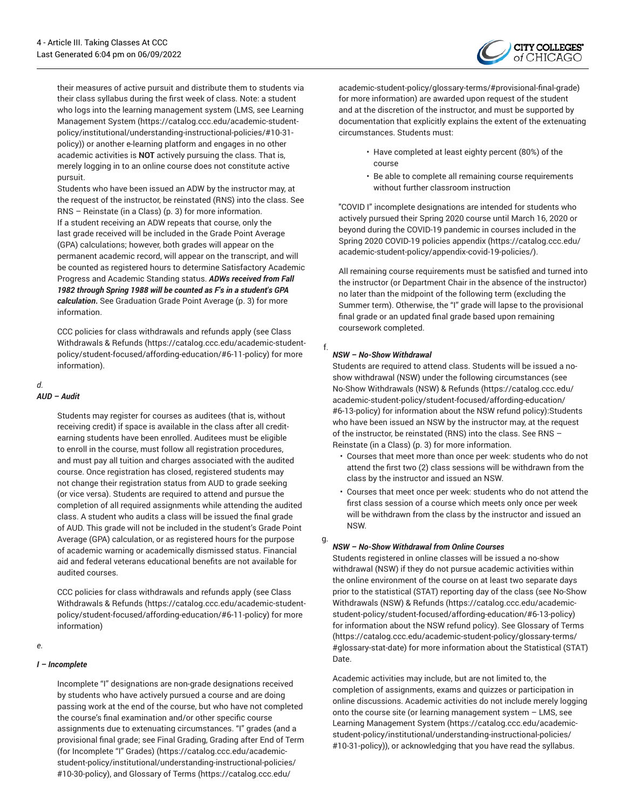

their measures of active pursuit and distribute them to students via their class syllabus during the first week of class. Note: a student who logs into the learning management system (LMS, see [Learning](https://catalog.ccc.edu/academic-student-policy/institutional/understanding-instructional-policies/#10-31-policy) [Management System \(https://catalog.ccc.edu/academic-student](https://catalog.ccc.edu/academic-student-policy/institutional/understanding-instructional-policies/#10-31-policy)[policy/institutional/understanding-instructional-policies/#10-31](https://catalog.ccc.edu/academic-student-policy/institutional/understanding-instructional-policies/#10-31-policy) [policy](https://catalog.ccc.edu/academic-student-policy/institutional/understanding-instructional-policies/#10-31-policy))) or another e-learning platform and engages in no other academic activities is **NOT** actively pursuing the class. That is, merely logging in to an online course does not constitute active pursuit.

Students who have been issued an ADW by the instructor may, at the request of the instructor, be reinstated (RNS) into the class. See [RNS – Reinstate \(in a Class\)](#page-2-0) ([p. 3\)](#page-2-0) for more information. If a student receiving an ADW repeats that course, only the last grade received will be included in the Grade Point Average (GPA) calculations; however, both grades will appear on the permanent academic record, will appear on the transcript, and will be counted as registered hours to determine Satisfactory Academic Progress and Academic Standing status. *ADWs received from Fall 1982 through Spring 1988 will be counted as F's in a student's GPA calculation***.** See [Graduation](#page-2-2) Grade Point Average [\(p. 3](#page-2-2)) for more information.

CCC policies for class withdrawals and refunds apply (see [Class](https://catalog.ccc.edu/academic-student-policy/student-focused/affording-education/#6-11-policy) [Withdrawals & Refunds \(https://catalog.ccc.edu/academic-student](https://catalog.ccc.edu/academic-student-policy/student-focused/affording-education/#6-11-policy)[policy/student-focused/affording-education/#6-11-policy](https://catalog.ccc.edu/academic-student-policy/student-focused/affording-education/#6-11-policy)) for more information).

## *d.*

## *AUD – Audit*

Students may register for courses as auditees (that is, without receiving credit) if space is available in the class after all creditearning students have been enrolled. Auditees must be eligible to enroll in the course, must follow all registration procedures, and must pay all tuition and charges associated with the audited course. Once registration has closed, registered students may not change their registration status from AUD to grade seeking (or vice versa). Students are required to attend and pursue the completion of all required assignments while attending the audited class. A student who audits a class will be issued the final grade of AUD. This grade will not be included in the student's Grade Point Average (GPA) calculation, or as registered hours for the purpose of academic warning or academically dismissed status. Financial aid and federal veterans educational benefits are not available for audited courses.

CCC policies for class withdrawals and refunds apply (see [Class](https://catalog.ccc.edu/academic-student-policy/student-focused/affording-education/#6-11-policy) [Withdrawals & Refunds \(https://catalog.ccc.edu/academic-student](https://catalog.ccc.edu/academic-student-policy/student-focused/affording-education/#6-11-policy)[policy/student-focused/affording-education/#6-11-policy](https://catalog.ccc.edu/academic-student-policy/student-focused/affording-education/#6-11-policy)) for more information)

### *e.*

### *I – Incomplete*

Incomplete "I" designations are non-grade designations received by students who have actively pursued a course and are doing passing work at the end of the course, but who have not completed the course's final examination and/or other specific course assignments due to extenuating circumstances. "I" grades (and a provisional final grade; see Final [Grading,](https://catalog.ccc.edu/academic-student-policy/institutional/understanding-instructional-policies/#10-30-policy) Grading after End of Term [\(for Incomplete "I" Grades\)](https://catalog.ccc.edu/academic-student-policy/institutional/understanding-instructional-policies/#10-30-policy) ([https://catalog.ccc.edu/academic](https://catalog.ccc.edu/academic-student-policy/institutional/understanding-instructional-policies/#10-30-policy)[student-policy/institutional/understanding-instructional-policies/](https://catalog.ccc.edu/academic-student-policy/institutional/understanding-instructional-policies/#10-30-policy) [#10-30-policy\)](https://catalog.ccc.edu/academic-student-policy/institutional/understanding-instructional-policies/#10-30-policy), and [Glossary](https://catalog.ccc.edu/academic-student-policy/glossary-terms/#provisional-final-grade) of Terms [\(https://catalog.ccc.edu/](https://catalog.ccc.edu/academic-student-policy/glossary-terms/#provisional-final-grade)

[academic-student-policy/glossary-terms/#provisional-final-grade\)](https://catalog.ccc.edu/academic-student-policy/glossary-terms/#provisional-final-grade) for more information) are awarded upon request of the student and at the discretion of the instructor, and must be supported by documentation that explicitly explains the extent of the extenuating circumstances. Students must:

- Have completed at least eighty percent (80%) of the course
- Be able to complete all remaining course requirements without further classroom instruction

"COVID I" incomplete designations are intended for students who actively pursued their Spring 2020 course until March 16, 2020 or beyond during the COVID-19 pandemic in courses included in the Spring 2020 [COVID-19](https://catalog.ccc.edu/academic-student-policy/appendix-covid-19-policies/) policies appendix [\(https://catalog.ccc.edu/](https://catalog.ccc.edu/academic-student-policy/appendix-covid-19-policies/) [academic-student-policy/appendix-covid-19-policies/\)](https://catalog.ccc.edu/academic-student-policy/appendix-covid-19-policies/).

All remaining course requirements must be satisfied and turned into the instructor (or Department Chair in the absence of the instructor) no later than the midpoint of the following term (excluding the Summer term). Otherwise, the "I" grade will lapse to the provisional final grade or an updated final grade based upon remaining coursework completed.

### *NSW – No-Show Withdrawal*

f.

Students are required to attend class. Students will be issued a noshow withdrawal (NSW) under the following circumstances (see No-Show [Withdrawals](https://catalog.ccc.edu/academic-student-policy/student-focused/affording-education/#6-13-policy) (NSW) & Refunds [\(https://catalog.ccc.edu/](https://catalog.ccc.edu/academic-student-policy/student-focused/affording-education/#6-13-policy) [academic-student-policy/student-focused/affording-education/](https://catalog.ccc.edu/academic-student-policy/student-focused/affording-education/#6-13-policy) [#6-13-policy\)](https://catalog.ccc.edu/academic-student-policy/student-focused/affording-education/#6-13-policy) for information about the NSW refund policy):Students who have been issued an NSW by the instructor may, at the request of the instructor, be reinstated (RNS) into the class. See [RNS –](#page-2-0) [Reinstate \(in a Class\) \(p. 3\)](#page-2-0) for more information.

- Courses that meet more than once per week: students who do not attend the first two (2) class sessions will be withdrawn from the class by the instructor and issued an NSW.
- Courses that meet once per week: students who do not attend the first class session of a course which meets only once per week will be withdrawn from the class by the instructor and issued an NSW.

#### g. *NSW – No-Show Withdrawal from Online Courses*

Students registered in online classes will be issued a no-show withdrawal (NSW) if they do not pursue academic activities within the online environment of the course on at least two separate days prior to the statistical (STAT) reporting day of the class (see [No-Show](https://catalog.ccc.edu/academic-student-policy/student-focused/affording-education/#6-13-policy) [Withdrawals](https://catalog.ccc.edu/academic-student-policy/student-focused/affording-education/#6-13-policy) (NSW) & Refunds ([https://catalog.ccc.edu/academic](https://catalog.ccc.edu/academic-student-policy/student-focused/affording-education/#6-13-policy)[student-policy/student-focused/affording-education/#6-13-policy](https://catalog.ccc.edu/academic-student-policy/student-focused/affording-education/#6-13-policy)) for information about the NSW refund policy). See [Glossary](https://catalog.ccc.edu/academic-student-policy/glossary-terms/#glossary-stat-date) of Terms [\(https://catalog.ccc.edu/academic-student-policy/glossary-terms/](https://catalog.ccc.edu/academic-student-policy/glossary-terms/#glossary-stat-date) [#glossary-stat-date](https://catalog.ccc.edu/academic-student-policy/glossary-terms/#glossary-stat-date)) for more information about the Statistical (STAT) Date.

Academic activities may include, but are not limited to, the completion of assignments, exams and quizzes or participation in online discussions. Academic activities do not include merely logging onto the course site (or learning management system – LMS, see [Learning Management System](https://catalog.ccc.edu/academic-student-policy/institutional/understanding-instructional-policies/#10-31-policy) [\(https://catalog.ccc.edu/academic](https://catalog.ccc.edu/academic-student-policy/institutional/understanding-instructional-policies/#10-31-policy)[student-policy/institutional/understanding-instructional-policies/](https://catalog.ccc.edu/academic-student-policy/institutional/understanding-instructional-policies/#10-31-policy) [#10-31-policy](https://catalog.ccc.edu/academic-student-policy/institutional/understanding-instructional-policies/#10-31-policy))), or acknowledging that you have read the syllabus.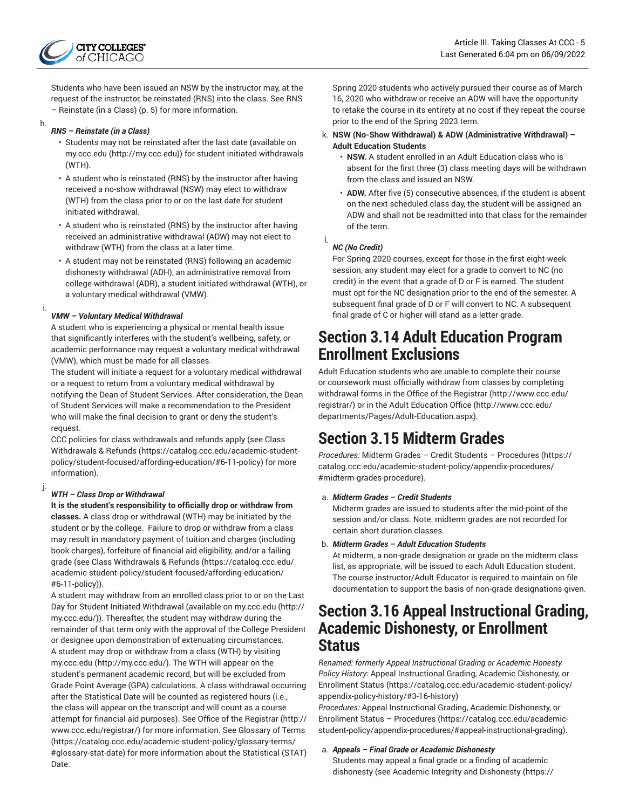

Students who have been issued an NSW by the instructor may, at the request of the instructor, be reinstated (RNS) into the class. See [RNS](#page-4-0) [– Reinstate \(in a Class\)](#page-4-0) ([p. 5\)](#page-4-0) for more information.

h.

### <span id="page-4-0"></span>*RNS – Reinstate (in a Class)*

- Students may not be reinstated after the last date (available on [my.ccc.edu \(http://my.ccc.edu](http://my.ccc.edu))) for student initiated withdrawals (WTH).
- A student who is reinstated (RNS) by the instructor after having received a no-show withdrawal (NSW) may elect to withdraw (WTH) from the class prior to or on the last date for student initiated withdrawal.
- A student who is reinstated (RNS) by the instructor after having received an administrative withdrawal (ADW) may not elect to withdraw (WTH) from the class at a later time.
- A student may not be reinstated (RNS) following an academic dishonesty withdrawal (ADH), an administrative removal from college withdrawal (ADR), a student initiated withdrawal (WTH), or a voluntary medical withdrawal (VMW).

#### i. *VMW – Voluntary Medical Withdrawal*

A student who is experiencing a physical or mental health issue that significantly interferes with the student's wellbeing, safety, or academic performance may request a voluntary medical withdrawal (VMW), which must be made for all classes.

The student will initiate a request for a voluntary medical withdrawal or a request to return from a voluntary medical withdrawal by notifying the Dean of Student Services. After consideration, the Dean of Student Services will make a recommendation to the President who will make the final decision to grant or deny the student's request.

CCC policies for class withdrawals and refunds apply (see [Class](https://catalog.ccc.edu/academic-student-policy/student-focused/affording-education/#6-11-policy) [Withdrawals & Refunds \(https://catalog.ccc.edu/academic-student](https://catalog.ccc.edu/academic-student-policy/student-focused/affording-education/#6-11-policy)[policy/student-focused/affording-education/#6-11-policy](https://catalog.ccc.edu/academic-student-policy/student-focused/affording-education/#6-11-policy)) for more information).

#### j. *WTH – Class Drop or Withdrawal*

**It is the student's responsibility to officially drop or withdraw from classes.** A class drop or withdrawal (WTH) may be initiated by the student or by the college. Failure to drop or withdraw from a class may result in mandatory payment of tuition and charges (including book charges), forfeiture of financial aid eligibility, and/or a failing grade (see [Class Withdrawals & Refunds](https://catalog.ccc.edu/academic-student-policy/student-focused/affording-education/#6-11-policy) ([https://catalog.ccc.edu/](https://catalog.ccc.edu/academic-student-policy/student-focused/affording-education/#6-11-policy) [academic-student-policy/student-focused/affording-education/](https://catalog.ccc.edu/academic-student-policy/student-focused/affording-education/#6-11-policy) [#6-11-policy](https://catalog.ccc.edu/academic-student-policy/student-focused/affording-education/#6-11-policy))).

A student may withdraw from an enrolled class prior to or on the Last Day for Student Initiated Withdrawal (available on [my.ccc.edu](http://my.ccc.edu/) ([http://](http://my.ccc.edu/) [my.ccc.edu/\)](http://my.ccc.edu/)). Thereafter, the student may withdraw during the remainder of that term only with the approval of the College President or designee upon demonstration of extenuating circumstances. A student may drop or withdraw from a class (WTH) by visiting [my.ccc.edu \(http://my.ccc.edu/\)](http://my.ccc.edu/). The WTH will appear on the student's permanent academic record, but will be excluded from Grade Point Average (GPA) calculations. A class withdrawal occurring after the Statistical Date will be counted as registered hours (i.e., the class will appear on the transcript and will count as a course attempt for financial aid purposes). See [Office of the Registrar](http://www.ccc.edu/registrar/) [\(http://](http://www.ccc.edu/registrar/) [www.ccc.edu/registrar/\)](http://www.ccc.edu/registrar/) for more information. See [Glossary](https://catalog.ccc.edu/academic-student-policy/glossary-terms/#glossary-stat-date) of Terms ([https://catalog.ccc.edu/academic-student-policy/glossary-terms/](https://catalog.ccc.edu/academic-student-policy/glossary-terms/#glossary-stat-date) [#glossary-stat-date](https://catalog.ccc.edu/academic-student-policy/glossary-terms/#glossary-stat-date)) for more information about the Statistical (STAT) Date.

Spring 2020 students who actively pursued their course as of March 16, 2020 who withdraw or receive an ADW will have the opportunity to retake the course in its entirety at no cost if they repeat the course prior to the end of the Spring 2023 term.

### k. **NSW (No-Show Withdrawal) & ADW (Administrative Withdrawal) – Adult Education Students**

- **NSW.** A student enrolled in an Adult Education class who is absent for the first three (3) class meeting days will be withdrawn from the class and issued an NSW.
- **ADW.** After five (5) consecutive absences, if the student is absent on the next scheduled class day, the student will be assigned an ADW and shall not be readmitted into that class for the remainder of the term.

## *NC (No Credit)*

l.

For Spring 2020 courses, except for those in the first eight-week session, any student may elect for a grade to convert to NC (no credit) in the event that a grade of D or F is earned. The student must opt for the NC designation prior to the end of the semester. A subsequent final grade of D or F will convert to NC. A subsequent final grade of C or higher will stand as a letter grade.

## **Section 3.14 Adult Education Program Enrollment Exclusions**

Adult Education students who are unable to complete their course or coursework must officially withdraw from classes by completing withdrawal forms in the [Office of the Registrar](http://www.ccc.edu/registrar/) ([http://www.ccc.edu/](http://www.ccc.edu/registrar/) [registrar/\)](http://www.ccc.edu/registrar/) or in the Adult [Education](http://www.ccc.edu/departments/Pages/Adult-Education.aspx) Office ([http://www.ccc.edu/](http://www.ccc.edu/departments/Pages/Adult-Education.aspx) [departments/Pages/Adult-Education.aspx](http://www.ccc.edu/departments/Pages/Adult-Education.aspx)).

# **Section 3.15 Midterm Grades**

*Procedures:* Midterm Grades – Credit Students – [Procedures \(https://](https://catalog.ccc.edu/academic-student-policy/appendix-procedures/#midterm-grades-procedure) [catalog.ccc.edu/academic-student-policy/appendix-procedures/](https://catalog.ccc.edu/academic-student-policy/appendix-procedures/#midterm-grades-procedure) [#midterm-grades-procedure\)](https://catalog.ccc.edu/academic-student-policy/appendix-procedures/#midterm-grades-procedure)*.*

## a. *Midterm Grades – Credit Students*

Midterm grades are issued to students after the mid-point of the session and/or class. Note: midterm grades are not recorded for certain short duration classes.

## b. *Midterm Grades – Adult Education Students*

At midterm, a non-grade designation or grade on the midterm class list, as appropriate, will be issued to each Adult Education student. The course instructor/Adult Educator is required to maintain on file documentation to support the basis of non-grade designations given.

## **Section 3.16 Appeal Instructional Grading, Academic Dishonesty, or Enrollment Status**

*Renamed: formerly Appeal Instructional Grading or Academic Honesty. Policy History:* Appeal [Instructional](https://catalog.ccc.edu/academic-student-policy/appendix-policy-history/#3-16-history) Grading, Academic Dishonesty, or [Enrollment](https://catalog.ccc.edu/academic-student-policy/appendix-policy-history/#3-16-history) Status ([https://catalog.ccc.edu/academic-student-policy/](https://catalog.ccc.edu/academic-student-policy/appendix-policy-history/#3-16-history) [appendix-policy-history/#3-16-history\)](https://catalog.ccc.edu/academic-student-policy/appendix-policy-history/#3-16-history)

*Procedures:* Appeal [Instructional](https://catalog.ccc.edu/academic-student-policy/appendix-procedures/#appeal-instructional-grading) Grading, Academic Dishonesty, or Enrollment Status – [Procedures](https://catalog.ccc.edu/academic-student-policy/appendix-procedures/#appeal-instructional-grading) [\(https://catalog.ccc.edu/academic](https://catalog.ccc.edu/academic-student-policy/appendix-procedures/#appeal-instructional-grading)[student-policy/appendix-procedures/#appeal-instructional-grading\)](https://catalog.ccc.edu/academic-student-policy/appendix-procedures/#appeal-instructional-grading).

### a. *Appeals – Final Grade or Academic Dishonesty*

Students may appeal a final grade or a finding of academic dishonesty (see [Academic Integrity and Dishonesty \(https://](https://catalog.ccc.edu/academic-student-policy/student-focused/understanding-rights-responsibilities/#8-17-policy)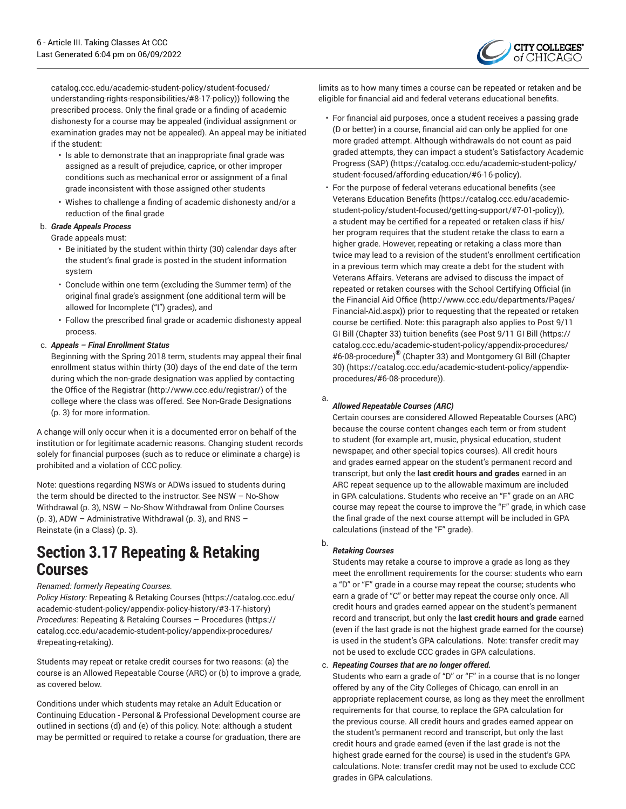

[catalog.ccc.edu/academic-student-policy/student-focused/](https://catalog.ccc.edu/academic-student-policy/student-focused/understanding-rights-responsibilities/#8-17-policy) [understanding-rights-responsibilities/#8-17-policy](https://catalog.ccc.edu/academic-student-policy/student-focused/understanding-rights-responsibilities/#8-17-policy))) following the prescribed process. Only the final grade or a finding of academic dishonesty for a course may be appealed (individual assignment or examination grades may not be appealed). An appeal may be initiated if the student:

- Is able to demonstrate that an inappropriate final grade was assigned as a result of prejudice, caprice, or other improper conditions such as mechanical error or assignment of a final grade inconsistent with those assigned other students
- Wishes to challenge a finding of academic dishonesty and/or a reduction of the final grade

### b. *Grade Appeals Process*

Grade appeals must:

- Be initiated by the student within thirty (30) calendar days after the student's final grade is posted in the student information system
- Conclude within one term (excluding the Summer term) of the original final grade's assignment (one additional term will be allowed for Incomplete ("I") grades), and
- Follow the prescribed final grade or academic dishonesty appeal process.

### c. *Appeals – Final Enrollment Status*

Beginning with the Spring 2018 term, students may appeal their final enrollment status within thirty (30) days of the end date of the term during which the non-grade designation was applied by contacting the [Office of the Registrar](http://www.ccc.edu/registrar/) (<http://www.ccc.edu/registrar/>) of the college where the class was offered. See [Non-Grade Designations](#page-2-0) ([p. 3\)](#page-2-0) for more information.

A change will only occur when it is a documented error on behalf of the institution or for legitimate academic reasons. Changing student records solely for financial purposes (such as to reduce or eliminate a charge) is prohibited and a violation of CCC policy.

Note: questions regarding NSWs or ADWs issued to students during the term should be directed to the instructor. See [NSW – No-Show](#page-2-0) [Withdrawal](#page-2-0) [\(p. 3](#page-2-0)), NSW – No-Show [Withdrawal](#page-2-0) from Online Courses ([p. 3\)](#page-2-0), ADW – [Administrative](#page-2-0) Withdrawal [\(p. 3\)](#page-2-0), and [RNS –](#page-2-0) [Reinstate \(in a Class\)](#page-2-0) [\(p. 3](#page-2-0)).

## <span id="page-5-0"></span>**Section 3.17 Repeating & Retaking Courses**

### *Renamed: formerly Repeating Courses.*

*Policy History:* [Repeating & Retaking Courses](https://catalog.ccc.edu/academic-student-policy/appendix-policy-history/#3-17-history) ([https://catalog.ccc.edu/](https://catalog.ccc.edu/academic-student-policy/appendix-policy-history/#3-17-history) [academic-student-policy/appendix-policy-history/#3-17-history](https://catalog.ccc.edu/academic-student-policy/appendix-policy-history/#3-17-history)) *Procedures:* Repeating & Retaking Courses – [Procedures](https://catalog.ccc.edu/academic-student-policy/appendix-procedures/#repeating-retaking) ([https://](https://catalog.ccc.edu/academic-student-policy/appendix-procedures/#repeating-retaking) [catalog.ccc.edu/academic-student-policy/appendix-procedures/](https://catalog.ccc.edu/academic-student-policy/appendix-procedures/#repeating-retaking) [#repeating-retaking](https://catalog.ccc.edu/academic-student-policy/appendix-procedures/#repeating-retaking)).

Students may repeat or retake credit courses for two reasons: (a) the course is an Allowed Repeatable Course (ARC) or (b) to improve a grade, as covered below.

Conditions under which students may retake an Adult Education or Continuing Education - Personal & Professional Development course are outlined in sections (d) and (e) of this policy. Note: although a student may be permitted or required to retake a course for graduation, there are

limits as to how many times a course can be repeated or retaken and be eligible for financial aid and federal veterans educational benefits.

- For financial aid purposes, once a student receives a passing grade (D or better) in a course, financial aid can only be applied for one more graded attempt. Although withdrawals do not count as paid graded attempts, they can impact a student's [Satisfactory](https://catalog.ccc.edu/academic-student-policy/student-focused/affording-education/#6-16-policy) Academic [Progress](https://catalog.ccc.edu/academic-student-policy/student-focused/affording-education/#6-16-policy) (SAP) ([https://catalog.ccc.edu/academic-student-policy/](https://catalog.ccc.edu/academic-student-policy/student-focused/affording-education/#6-16-policy) [student-focused/affording-education/#6-16-policy\)](https://catalog.ccc.edu/academic-student-policy/student-focused/affording-education/#6-16-policy).
- For the purpose of federal veterans educational benefits (see Veterans [Education](https://catalog.ccc.edu/academic-student-policy/student-focused/getting-support/#7-01-policy) Benefits ([https://catalog.ccc.edu/academic](https://catalog.ccc.edu/academic-student-policy/student-focused/getting-support/#7-01-policy)[student-policy/student-focused/getting-support/#7-01-policy\)](https://catalog.ccc.edu/academic-student-policy/student-focused/getting-support/#7-01-policy)), a student may be certified for a repeated or retaken class if his/ her program requires that the student retake the class to earn a higher grade. However, repeating or retaking a class more than twice may lead to a revision of the student's enrollment certification in a previous term which may create a debt for the student with Veterans Affairs. Veterans are advised to discuss the impact of repeated or retaken courses with the School Certifying Official (in the [Financial Aid Office \(http://www.ccc.edu/departments/Pages/](http://www.ccc.edu/departments/Pages/Financial-Aid.aspx) [Financial-Aid.aspx](http://www.ccc.edu/departments/Pages/Financial-Aid.aspx))) prior to requesting that the repeated or retaken course be certified. Note: this paragraph also applies to Post 9/11 GI Bill (Chapter 33) tuition benefits (see Post [9/11](https://catalog.ccc.edu/academic-student-policy/appendix-procedures/#6-08-procedure) GI Bill ([https://](https://catalog.ccc.edu/academic-student-policy/appendix-procedures/#6-08-procedure) [catalog.ccc.edu/academic-student-policy/appendix-procedures/](https://catalog.ccc.edu/academic-student-policy/appendix-procedures/#6-08-procedure) [#6-08-procedure](https://catalog.ccc.edu/academic-student-policy/appendix-procedures/#6-08-procedure)) ® (Chapter 33) and [Montgomery](https://catalog.ccc.edu/academic-student-policy/appendix-procedures/#6-08-procedure) GI Bill (Chapter [30\)](https://catalog.ccc.edu/academic-student-policy/appendix-procedures/#6-08-procedure) ([https://catalog.ccc.edu/academic-student-policy/appendix](https://catalog.ccc.edu/academic-student-policy/appendix-procedures/#6-08-procedure)[procedures/#6-08-procedure](https://catalog.ccc.edu/academic-student-policy/appendix-procedures/#6-08-procedure))).

#### a. *Allowed Repeatable Courses (ARC)*

Certain courses are considered Allowed Repeatable Courses (ARC) because the course content changes each term or from student to student (for example art, music, physical education, student newspaper, and other special topics courses). All credit hours and grades earned appear on the student's permanent record and transcript, but only the **last credit hours and grades** earned in an ARC repeat sequence up to the allowable maximum are included in GPA calculations. Students who receive an "F" grade on an ARC course may repeat the course to improve the "F" grade, in which case the final grade of the next course attempt will be included in GPA calculations (instead of the "F" grade).

### b. *Retaking Courses*

Students may retake a course to improve a grade as long as they meet the enrollment requirements for the course: students who earn a "D" or "F" grade in a course may repeat the course; students who earn a grade of "C" or better may repeat the course only once. All credit hours and grades earned appear on the student's permanent record and transcript, but only the **last credit hours and grade** earned (even if the last grade is not the highest grade earned for the course) is used in the student's GPA calculations. Note: transfer credit may not be used to exclude CCC grades in GPA calculations.

### c. *Repeating Courses that are no longer offered.*

Students who earn a grade of "D" or "F" in a course that is no longer offered by any of the City Colleges of Chicago, can enroll in an appropriate replacement course, as long as they meet the enrollment requirements for that course, to replace the GPA calculation for the previous course. All credit hours and grades earned appear on the student's permanent record and transcript, but only the last credit hours and grade earned (even if the last grade is not the highest grade earned for the course) is used in the student's GPA calculations. Note: transfer credit may not be used to exclude CCC grades in GPA calculations.